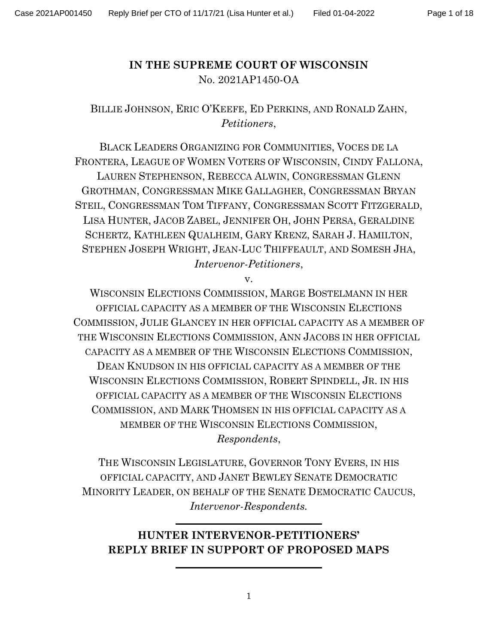## IN THE SUPREME COURT OF WISCONSIN No. 2021AP1450-OA

## BILLIE JOHNSON, ERIC O'KEEFE, ED PERKINS, AND RONALD ZAHN, Petitioners,

BLACK LEADERS ORGANIZING FOR COMMUNITIES, VOCES DE LA FRONTERA, LEAGUE OF WOMEN VOTERS OF WISCONSIN, CINDY FALLONA, LAUREN STEPHENSON, REBECCA ALWIN, CONGRESSMAN GLENN GROTHMAN, CONGRESSMAN MIKE GALLAGHER, CONGRESSMAN BRYAN STEIL, CONGRESSMAN TOM TIFFANY, CONGRESSMAN SCOTT FITZGERALD, LISA HUNTER, JACOB ZABEL, JENNIFER OH, JOHN PERSA, GERALDINE SCHERTZ, KATHLEEN QUALHEIM, GARY KRENZ, SARAH J. HAMILTON, STEPHEN JOSEPH WRIGHT, JEAN-LUC THIFFEAULT, AND SOMESH JHA, Intervenor-Petitioners,

v.

WISCONSIN ELECTIONS COMMISSION, MARGE BOSTELMANN IN HER OFFICIAL CAPACITY AS A MEMBER OF THE WISCONSIN ELECTIONS COMMISSION, JULIE GLANCEY IN HER OFFICIAL CAPACITY AS A MEMBER OF THE WISCONSIN ELECTIONS COMMISSION, ANN JACOBS IN HER OFFICIAL CAPACITY AS A MEMBER OF THE WISCONSIN ELECTIONS COMMISSION, DEAN KNUDSON IN HIS OFFICIAL CAPACITY AS A MEMBER OF THE WISCONSIN ELECTIONS COMMISSION, ROBERT SPINDELL, JR. IN HIS OFFICIAL CAPACITY AS A MEMBER OF THE WISCONSIN ELECTIONS COMMISSION, AND MARK THOMSEN IN HIS OFFICIAL CAPACITY AS A MEMBER OF THE WISCONSIN ELECTIONS COMMISSION,

Respondents,

THE WISCONSIN LEGISLATURE, GOVERNOR TONY EVERS, IN HIS OFFICIAL CAPACITY, AND JANET BEWLEY SENATE DEMOCRATIC MINORITY LEADER, ON BEHALF OF THE SENATE DEMOCRATIC CAUCUS, Intervenor-Respondents.

# HUNTER INTERVENOR-PETITIONERS' REPLY BRIEF IN SUPPORT OF PROPOSED MAPS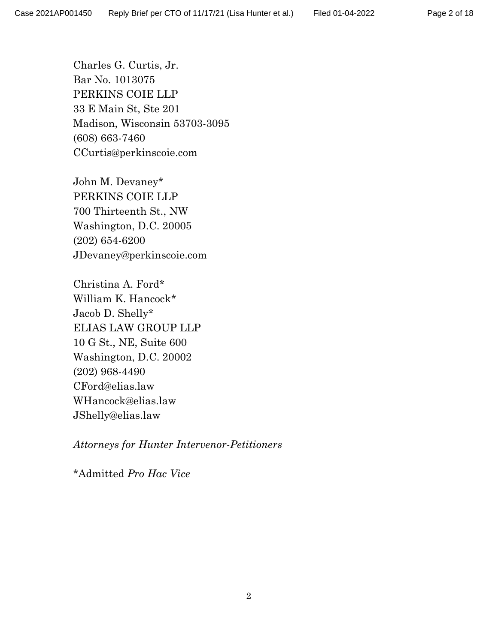Charles G. Curtis, Jr. Bar No. 1013075 PERKINS COIE LLP 33 E Main St, Ste 201 Madison, Wisconsin 53703-3095 (608) 663-7460 CCurtis@perkinscoie.com

John M. Devaney\* PERKINS COIE LLP 700 Thirteenth St., NW Washington, D.C. 20005 (202) 654-6200 JDevaney@perkinscoie.com

Christina A. Ford\* William K. Hancock\* Jacob D. Shelly\* ELIAS LAW GROUP LLP 10 G St., NE, Suite 600 Washington, D.C. 20002 (202) 968-4490 CFord@elias.law WHancock@elias.law JShelly@elias.law

Attorneys for Hunter Intervenor-Petitioners

\*Admitted Pro Hac Vice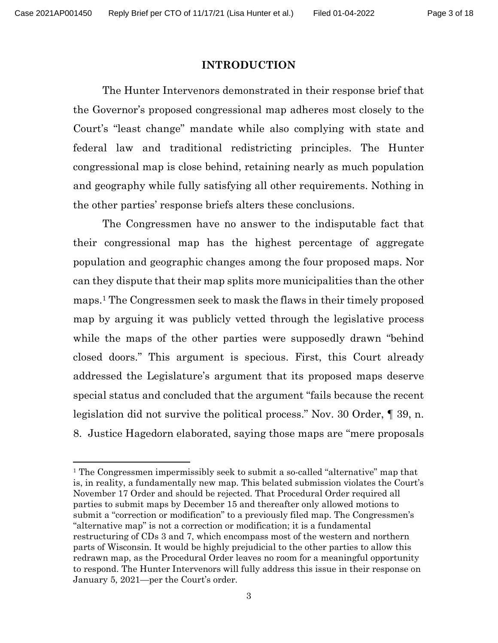#### INTRODUCTION

The Hunter Intervenors demonstrated in their response brief that the Governor's proposed congressional map adheres most closely to the Court's "least change" mandate while also complying with state and federal law and traditional redistricting principles. The Hunter congressional map is close behind, retaining nearly as much population and geography while fully satisfying all other requirements. Nothing in the other parties' response briefs alters these conclusions.

The Congressmen have no answer to the indisputable fact that their congressional map has the highest percentage of aggregate population and geographic changes among the four proposed maps. Nor can they dispute that their map splits more municipalities than the other maps.1 The Congressmen seek to mask the flaws in their timely proposed map by arguing it was publicly vetted through the legislative process while the maps of the other parties were supposedly drawn "behind closed doors." This argument is specious. First, this Court already addressed the Legislature's argument that its proposed maps deserve special status and concluded that the argument "fails because the recent legislation did not survive the political process." Nov. 30 Order, ¶ 39, n. 8. Justice Hagedorn elaborated, saying those maps are "mere proposals

<sup>&</sup>lt;sup>1</sup> The Congressmen impermissibly seek to submit a so-called "alternative" map that is, in reality, a fundamentally new map. This belated submission violates the Court's November 17 Order and should be rejected. That Procedural Order required all parties to submit maps by December 15 and thereafter only allowed motions to submit a "correction or modification" to a previously filed map. The Congressmen's "alternative map" is not a correction or modification; it is a fundamental restructuring of CDs 3 and 7, which encompass most of the western and northern parts of Wisconsin. It would be highly prejudicial to the other parties to allow this redrawn map, as the Procedural Order leaves no room for a meaningful opportunity to respond. The Hunter Intervenors will fully address this issue in their response on January 5, 2021—per the Court's order.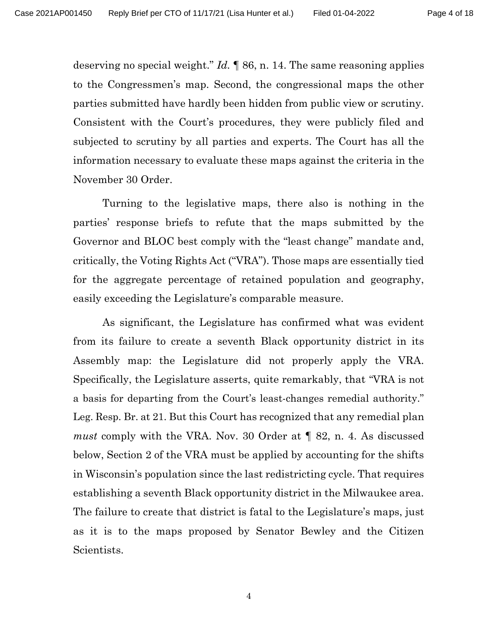deserving no special weight."  $Id. \P 86$ , n. 14. The same reasoning applies to the Congressmen's map. Second, the congressional maps the other parties submitted have hardly been hidden from public view or scrutiny. Consistent with the Court's procedures, they were publicly filed and subjected to scrutiny by all parties and experts. The Court has all the information necessary to evaluate these maps against the criteria in the November 30 Order.

Turning to the legislative maps, there also is nothing in the parties' response briefs to refute that the maps submitted by the Governor and BLOC best comply with the "least change" mandate and, critically, the Voting Rights Act ("VRA"). Those maps are essentially tied for the aggregate percentage of retained population and geography, easily exceeding the Legislature's comparable measure.

As significant, the Legislature has confirmed what was evident from its failure to create a seventh Black opportunity district in its Assembly map: the Legislature did not properly apply the VRA. Specifically, the Legislature asserts, quite remarkably, that "VRA is not a basis for departing from the Court's least-changes remedial authority." Leg. Resp. Br. at 21. But this Court has recognized that any remedial plan must comply with the VRA. Nov. 30 Order at ¶ 82, n. 4. As discussed below, Section 2 of the VRA must be applied by accounting for the shifts in Wisconsin's population since the last redistricting cycle. That requires establishing a seventh Black opportunity district in the Milwaukee area. The failure to create that district is fatal to the Legislature's maps, just as it is to the maps proposed by Senator Bewley and the Citizen Scientists.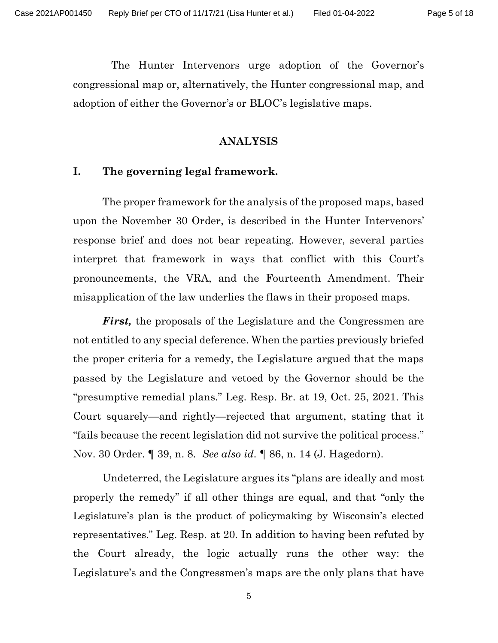The Hunter Intervenors urge adoption of the Governor's congressional map or, alternatively, the Hunter congressional map, and adoption of either the Governor's or BLOC's legislative maps.

#### ANALYSIS

#### I. The governing legal framework.

The proper framework for the analysis of the proposed maps, based upon the November 30 Order, is described in the Hunter Intervenors' response brief and does not bear repeating. However, several parties interpret that framework in ways that conflict with this Court's pronouncements, the VRA, and the Fourteenth Amendment. Their misapplication of the law underlies the flaws in their proposed maps.

First, the proposals of the Legislature and the Congressmen are not entitled to any special deference. When the parties previously briefed the proper criteria for a remedy, the Legislature argued that the maps passed by the Legislature and vetoed by the Governor should be the "presumptive remedial plans." Leg. Resp. Br. at 19, Oct. 25, 2021. This Court squarely—and rightly—rejected that argument, stating that it "fails because the recent legislation did not survive the political process." Nov. 30 Order. 1 39, n. 8. See also id. 1 86, n. 14 (J. Hagedorn).

Undeterred, the Legislature argues its "plans are ideally and most properly the remedy" if all other things are equal, and that "only the Legislature's plan is the product of policymaking by Wisconsin's elected representatives." Leg. Resp. at 20. In addition to having been refuted by the Court already, the logic actually runs the other way: the Legislature's and the Congressmen's maps are the only plans that have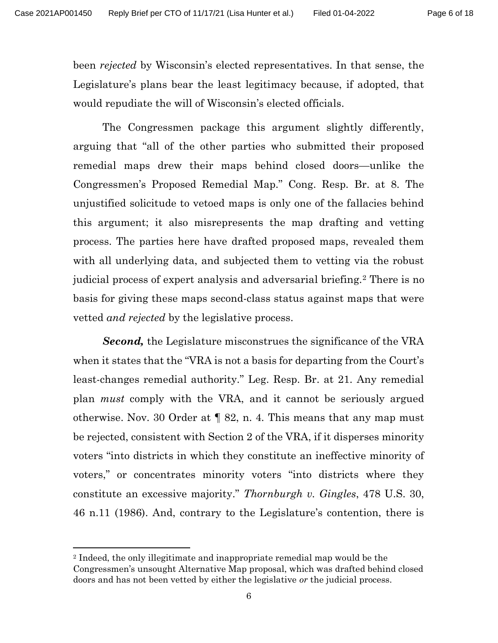been rejected by Wisconsin's elected representatives. In that sense, the Legislature's plans bear the least legitimacy because, if adopted, that would repudiate the will of Wisconsin's elected officials.

The Congressmen package this argument slightly differently, arguing that "all of the other parties who submitted their proposed remedial maps drew their maps behind closed doors—unlike the Congressmen's Proposed Remedial Map." Cong. Resp. Br. at 8. The unjustified solicitude to vetoed maps is only one of the fallacies behind this argument; it also misrepresents the map drafting and vetting process. The parties here have drafted proposed maps, revealed them with all underlying data, and subjected them to vetting via the robust judicial process of expert analysis and adversarial briefing.2 There is no basis for giving these maps second-class status against maps that were vetted *and rejected* by the legislative process.

Second, the Legislature misconstrues the significance of the VRA when it states that the "VRA is not a basis for departing from the Court's least-changes remedial authority." Leg. Resp. Br. at 21. Any remedial plan must comply with the VRA, and it cannot be seriously argued otherwise. Nov. 30 Order at ¶ 82, n. 4. This means that any map must be rejected, consistent with Section 2 of the VRA, if it disperses minority voters "into districts in which they constitute an ineffective minority of voters," or concentrates minority voters "into districts where they constitute an excessive majority." Thornburgh v. Gingles, 478 U.S. 30, 46 n.11 (1986). And, contrary to the Legislature's contention, there is

<sup>2</sup> Indeed, the only illegitimate and inappropriate remedial map would be the Congressmen's unsought Alternative Map proposal, which was drafted behind closed doors and has not been vetted by either the legislative or the judicial process.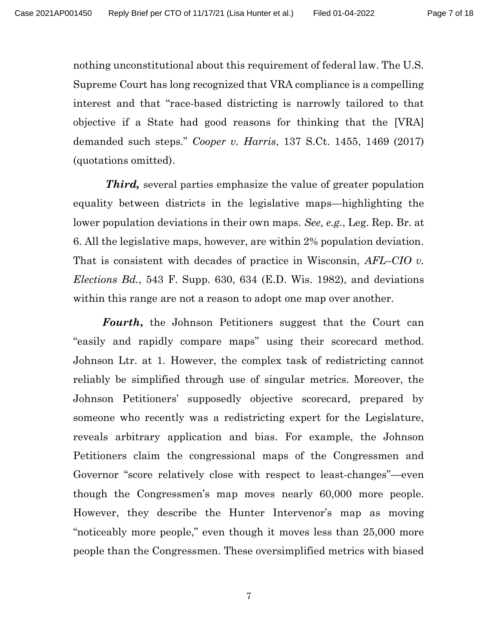nothing unconstitutional about this requirement of federal law. The U.S. Supreme Court has long recognized that VRA compliance is a compelling interest and that "race-based districting is narrowly tailored to that objective if a State had good reasons for thinking that the [VRA] demanded such steps." Cooper v. Harris, 137 S.Ct. 1455, 1469 (2017) (quotations omitted).

**Third,** several parties emphasize the value of greater population equality between districts in the legislative maps—highlighting the lower population deviations in their own maps. See, e.g., Leg. Rep. Br. at 6. All the legislative maps, however, are within 2% population deviation. That is consistent with decades of practice in Wisconsin, AFL–CIO v. *Elections Bd.*, 543 F. Supp. 630, 634 (E.D. Wis. 1982), and deviations within this range are not a reason to adopt one map over another.

Fourth, the Johnson Petitioners suggest that the Court can "easily and rapidly compare maps" using their scorecard method. Johnson Ltr. at 1. However, the complex task of redistricting cannot reliably be simplified through use of singular metrics. Moreover, the Johnson Petitioners' supposedly objective scorecard, prepared by someone who recently was a redistricting expert for the Legislature, reveals arbitrary application and bias. For example, the Johnson Petitioners claim the congressional maps of the Congressmen and Governor "score relatively close with respect to least-changes"—even though the Congressmen's map moves nearly 60,000 more people. However, they describe the Hunter Intervenor's map as moving "noticeably more people," even though it moves less than 25,000 more people than the Congressmen. These oversimplified metrics with biased

7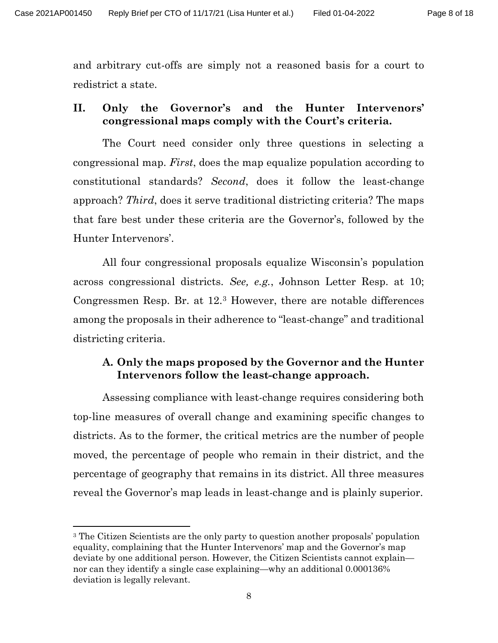and arbitrary cut-offs are simply not a reasoned basis for a court to redistrict a state.

## II. Only the Governor's and the Hunter Intervenors' congressional maps comply with the Court's criteria.

The Court need consider only three questions in selecting a congressional map. First, does the map equalize population according to constitutional standards? Second, does it follow the least-change approach? Third, does it serve traditional districting criteria? The maps that fare best under these criteria are the Governor's, followed by the Hunter Intervenors'.

All four congressional proposals equalize Wisconsin's population across congressional districts. See, e.g., Johnson Letter Resp. at 10; Congressmen Resp. Br. at 12.3 However, there are notable differences among the proposals in their adherence to "least-change" and traditional districting criteria.

## A. Only the maps proposed by the Governor and the Hunter Intervenors follow the least-change approach.

Assessing compliance with least-change requires considering both top-line measures of overall change and examining specific changes to districts. As to the former, the critical metrics are the number of people moved, the percentage of people who remain in their district, and the percentage of geography that remains in its district. All three measures reveal the Governor's map leads in least-change and is plainly superior.

<sup>&</sup>lt;sup>3</sup> The Citizen Scientists are the only party to question another proposals' population equality, complaining that the Hunter Intervenors' map and the Governor's map deviate by one additional person. However, the Citizen Scientists cannot explain nor can they identify a single case explaining—why an additional 0.000136% deviation is legally relevant.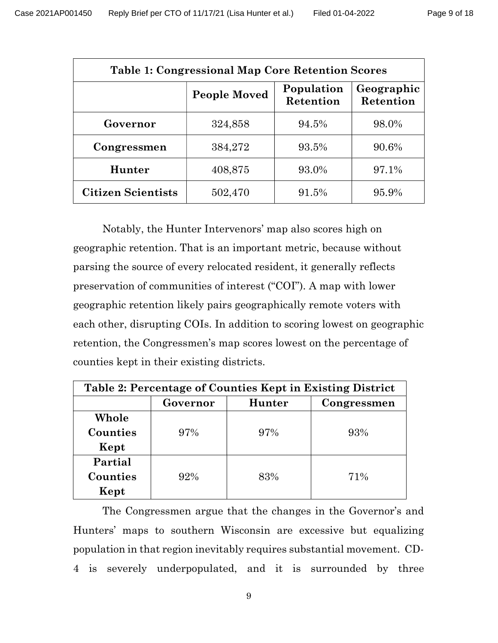| <b>Table 1: Congressional Map Core Retention Scores</b> |                     |                         |                         |  |  |  |
|---------------------------------------------------------|---------------------|-------------------------|-------------------------|--|--|--|
|                                                         | <b>People Moved</b> | Population<br>Retention | Geographic<br>Retention |  |  |  |
| Governor                                                | 324,858             | 94.5%                   | 98.0%                   |  |  |  |
| Congressmen                                             | 384,272             | 93.5%                   | 90.6%                   |  |  |  |
| Hunter                                                  | 408,875             | 93.0%                   | 97.1%                   |  |  |  |
| <b>Citizen Scientists</b>                               | 502,470             | 91.5%                   | 95.9%                   |  |  |  |

Notably, the Hunter Intervenors' map also scores high on geographic retention. That is an important metric, because without parsing the source of every relocated resident, it generally reflects preservation of communities of interest ("COI"). A map with lower geographic retention likely pairs geographically remote voters with each other, disrupting COIs. In addition to scoring lowest on geographic retention, the Congressmen's map scores lowest on the percentage of counties kept in their existing districts.

| Table 2: Percentage of Counties Kept in Existing District |          |        |             |  |  |  |
|-----------------------------------------------------------|----------|--------|-------------|--|--|--|
|                                                           | Governor | Hunter | Congressmen |  |  |  |
| Whole                                                     |          |        |             |  |  |  |
| Counties                                                  | 97%      | 97%    | 93%         |  |  |  |
| Kept                                                      |          |        |             |  |  |  |
| Partial                                                   |          |        |             |  |  |  |
| Counties                                                  | 92%      | 83%    | 71%         |  |  |  |
| Kept                                                      |          |        |             |  |  |  |

The Congressmen argue that the changes in the Governor's and Hunters' maps to southern Wisconsin are excessive but equalizing population in that region inevitably requires substantial movement. CD-4 is severely underpopulated, and it is surrounded by three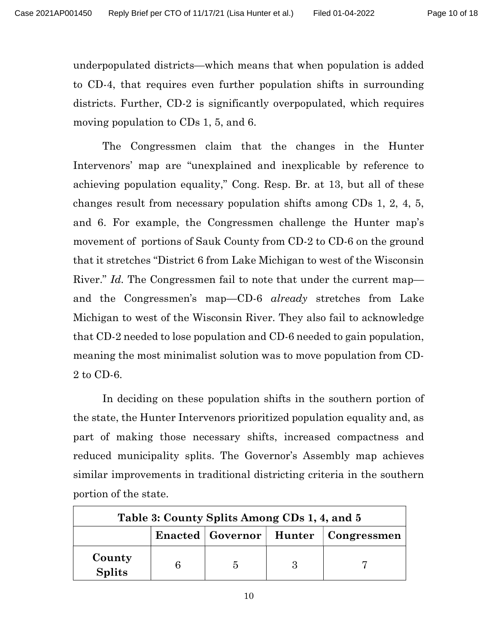underpopulated districts—which means that when population is added to CD-4, that requires even further population shifts in surrounding districts. Further, CD-2 is significantly overpopulated, which requires moving population to CDs 1, 5, and 6.

The Congressmen claim that the changes in the Hunter Intervenors' map are "unexplained and inexplicable by reference to achieving population equality," Cong. Resp. Br. at 13, but all of these changes result from necessary population shifts among CDs 1, 2, 4, 5, and 6. For example, the Congressmen challenge the Hunter map's movement of portions of Sauk County from CD-2 to CD-6 on the ground that it stretches "District 6 from Lake Michigan to west of the Wisconsin River." Id. The Congressmen fail to note that under the current map and the Congressmen's map—CD-6 *already* stretches from Lake Michigan to west of the Wisconsin River. They also fail to acknowledge that CD-2 needed to lose population and CD-6 needed to gain population, meaning the most minimalist solution was to move population from CD-2 to CD-6.

In deciding on these population shifts in the southern portion of the state, the Hunter Intervenors prioritized population equality and, as part of making those necessary shifts, increased compactness and reduced municipality splits. The Governor's Assembly map achieves similar improvements in traditional districting criteria in the southern portion of the state.

| Table 3: County Splits Among CDs 1, 4, and 5 |  |  |  |                                           |  |  |
|----------------------------------------------|--|--|--|-------------------------------------------|--|--|
|                                              |  |  |  | Enacted   Governor   Hunter   Congressmen |  |  |
| County<br><b>Splits</b>                      |  |  |  |                                           |  |  |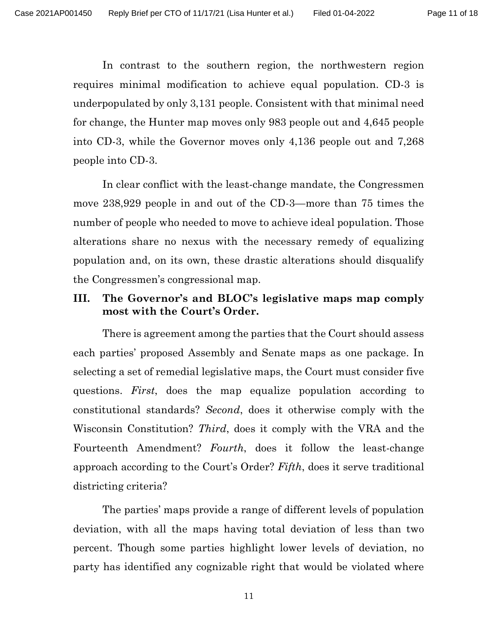In contrast to the southern region, the northwestern region requires minimal modification to achieve equal population. CD-3 is underpopulated by only 3,131 people. Consistent with that minimal need for change, the Hunter map moves only 983 people out and 4,645 people into CD-3, while the Governor moves only 4,136 people out and 7,268 people into CD-3.

In clear conflict with the least-change mandate, the Congressmen move 238,929 people in and out of the CD-3—more than 75 times the number of people who needed to move to achieve ideal population. Those alterations share no nexus with the necessary remedy of equalizing population and, on its own, these drastic alterations should disqualify the Congressmen's congressional map.

## III. The Governor's and BLOC's legislative maps map comply most with the Court's Order.

There is agreement among the parties that the Court should assess each parties' proposed Assembly and Senate maps as one package. In selecting a set of remedial legislative maps, the Court must consider five questions. First, does the map equalize population according to constitutional standards? Second, does it otherwise comply with the Wisconsin Constitution? Third, does it comply with the VRA and the Fourteenth Amendment? Fourth, does it follow the least-change approach according to the Court's Order? Fifth, does it serve traditional districting criteria?

The parties' maps provide a range of different levels of population deviation, with all the maps having total deviation of less than two percent. Though some parties highlight lower levels of deviation, no party has identified any cognizable right that would be violated where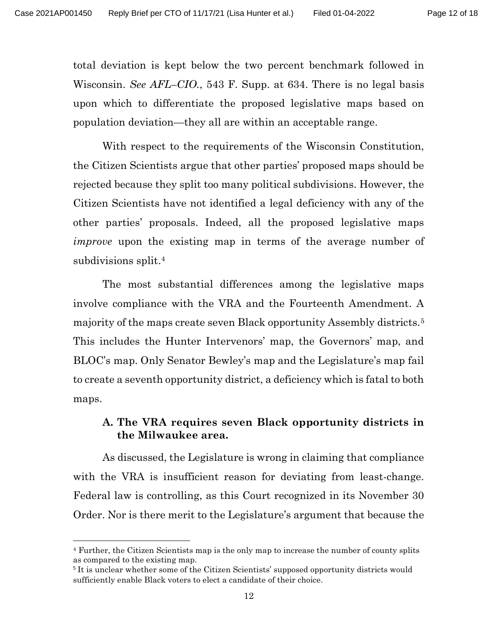total deviation is kept below the two percent benchmark followed in Wisconsin. See AFL–CIO., 543 F. Supp. at 634. There is no legal basis upon which to differentiate the proposed legislative maps based on population deviation—they all are within an acceptable range.

With respect to the requirements of the Wisconsin Constitution, the Citizen Scientists argue that other parties' proposed maps should be rejected because they split too many political subdivisions. However, the Citizen Scientists have not identified a legal deficiency with any of the other parties' proposals. Indeed, all the proposed legislative maps improve upon the existing map in terms of the average number of subdivisions split.<sup>4</sup>

The most substantial differences among the legislative maps involve compliance with the VRA and the Fourteenth Amendment. A majority of the maps create seven Black opportunity Assembly districts.<sup>5</sup> This includes the Hunter Intervenors' map, the Governors' map, and BLOC's map. Only Senator Bewley's map and the Legislature's map fail to create a seventh opportunity district, a deficiency which is fatal to both maps.

## A. The VRA requires seven Black opportunity districts in the Milwaukee area.

As discussed, the Legislature is wrong in claiming that compliance with the VRA is insufficient reason for deviating from least-change. Federal law is controlling, as this Court recognized in its November 30 Order. Nor is there merit to the Legislature's argument that because the

<sup>4</sup> Further, the Citizen Scientists map is the only map to increase the number of county splits as compared to the existing map.

<sup>&</sup>lt;sup>5</sup> It is unclear whether some of the Citizen Scientists' supposed opportunity districts would sufficiently enable Black voters to elect a candidate of their choice.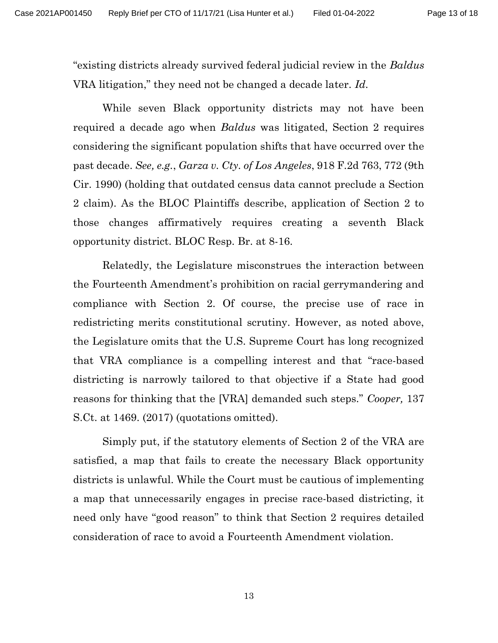"existing districts already survived federal judicial review in the Baldus VRA litigation," they need not be changed a decade later. Id.

While seven Black opportunity districts may not have been required a decade ago when *Baldus* was litigated, Section 2 requires considering the significant population shifts that have occurred over the past decade. See, e.g., Garza v. Cty. of Los Angeles, 918 F.2d 763, 772 (9th Cir. 1990) (holding that outdated census data cannot preclude a Section 2 claim). As the BLOC Plaintiffs describe, application of Section 2 to those changes affirmatively requires creating a seventh Black opportunity district. BLOC Resp. Br. at 8-16.

Relatedly, the Legislature misconstrues the interaction between the Fourteenth Amendment's prohibition on racial gerrymandering and compliance with Section 2. Of course, the precise use of race in redistricting merits constitutional scrutiny. However, as noted above, the Legislature omits that the U.S. Supreme Court has long recognized that VRA compliance is a compelling interest and that "race-based districting is narrowly tailored to that objective if a State had good reasons for thinking that the [VRA] demanded such steps." Cooper, 137 S.Ct. at 1469. (2017) (quotations omitted).

Simply put, if the statutory elements of Section 2 of the VRA are satisfied, a map that fails to create the necessary Black opportunity districts is unlawful. While the Court must be cautious of implementing a map that unnecessarily engages in precise race-based districting, it need only have "good reason" to think that Section 2 requires detailed consideration of race to avoid a Fourteenth Amendment violation.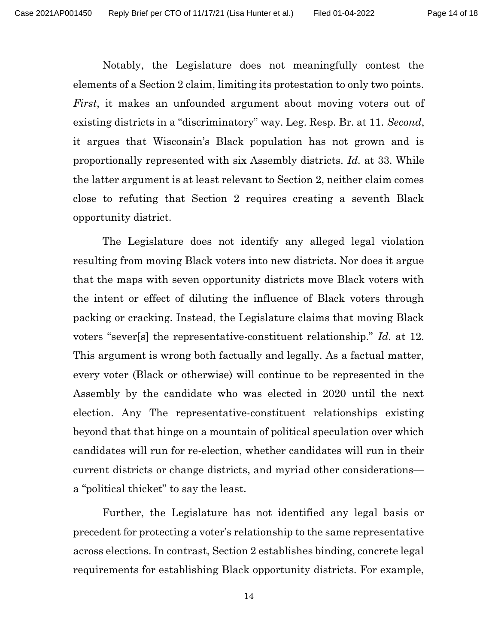Notably, the Legislature does not meaningfully contest the elements of a Section 2 claim, limiting its protestation to only two points. First, it makes an unfounded argument about moving voters out of existing districts in a "discriminatory" way. Leg. Resp. Br. at 11. Second, it argues that Wisconsin's Black population has not grown and is proportionally represented with six Assembly districts. Id. at 33. While the latter argument is at least relevant to Section 2, neither claim comes close to refuting that Section 2 requires creating a seventh Black opportunity district.

The Legislature does not identify any alleged legal violation resulting from moving Black voters into new districts. Nor does it argue that the maps with seven opportunity districts move Black voters with the intent or effect of diluting the influence of Black voters through packing or cracking. Instead, the Legislature claims that moving Black voters "sever[s] the representative-constituent relationship." Id. at 12. This argument is wrong both factually and legally. As a factual matter, every voter (Black or otherwise) will continue to be represented in the Assembly by the candidate who was elected in 2020 until the next election. Any The representative-constituent relationships existing beyond that that hinge on a mountain of political speculation over which candidates will run for re-election, whether candidates will run in their current districts or change districts, and myriad other considerations a "political thicket" to say the least.

Further, the Legislature has not identified any legal basis or precedent for protecting a voter's relationship to the same representative across elections. In contrast, Section 2 establishes binding, concrete legal requirements for establishing Black opportunity districts. For example,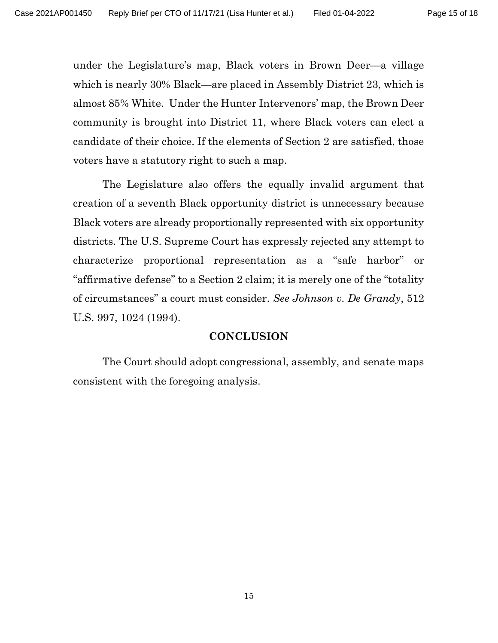under the Legislature's map, Black voters in Brown Deer—a village which is nearly 30% Black—are placed in Assembly District 23, which is almost 85% White. Under the Hunter Intervenors' map, the Brown Deer community is brought into District 11, where Black voters can elect a candidate of their choice. If the elements of Section 2 are satisfied, those voters have a statutory right to such a map.

The Legislature also offers the equally invalid argument that creation of a seventh Black opportunity district is unnecessary because Black voters are already proportionally represented with six opportunity districts. The U.S. Supreme Court has expressly rejected any attempt to characterize proportional representation as a "safe harbor" or "affirmative defense" to a Section 2 claim; it is merely one of the "totality of circumstances" a court must consider. See Johnson v. De Grandy, 512 U.S. 997, 1024 (1994).

#### **CONCLUSION**

 The Court should adopt congressional, assembly, and senate maps consistent with the foregoing analysis.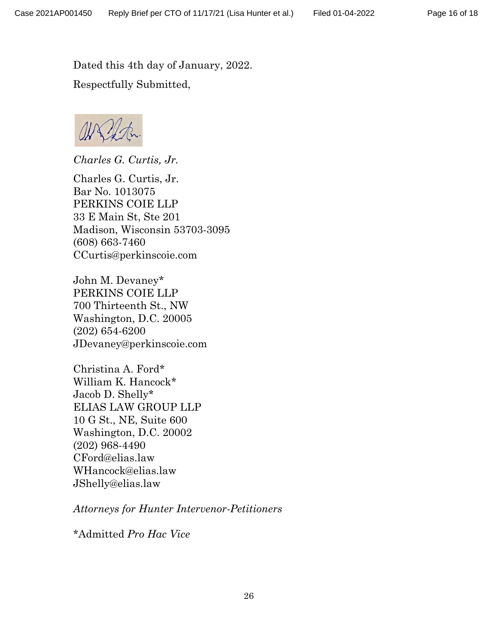Dated this 4th day of January, 2022. Respectfully Submitted,

*Charles G. Curtis, Jr.* 

Charles G. Curtis, Jr. Bar No. 1013075 PERKINS COIE LLP 33 E Main St, Ste 201 Madison, Wisconsin 53703-3095 (608) 663-7460 CCurtis@perkinscoie.com

John M. Devaney\* PERKINS COIE LLP 700 Thirteenth St., NW Washington, D.C. 20005 (202) 654-6200 JDevaney@perkinscoie.com

Christina A. Ford\* William K. Hancock\* Jacob D. Shelly\* ELIAS LAW GROUP LLP 10 G St., NE, Suite 600 Washington, D.C. 20002 (202) 968-4490 CFord@elias.law WHancock@elias.law JShelly@elias.law

*Attorneys for Hunter Intervenor-Petitioners*

\*Admitted *Pro Hac Vice*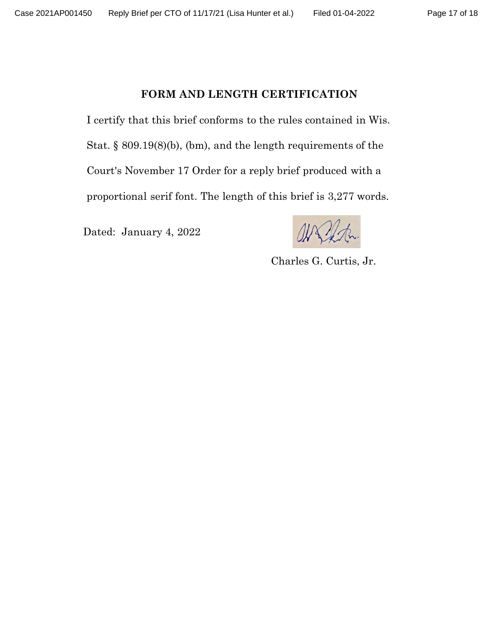#### FORM AND LENGTH CERTIFICATION

I certify that this brief conforms to the rules contained in Wis. Stat. § 809.19(8)(b), (bm), and the length requirements of the Court's November 17 Order for a reply brief produced with a proportional serif font. The length of this brief is 3,277 words.

Dated: January 4, 2022

Charles G. Curtis, Jr.